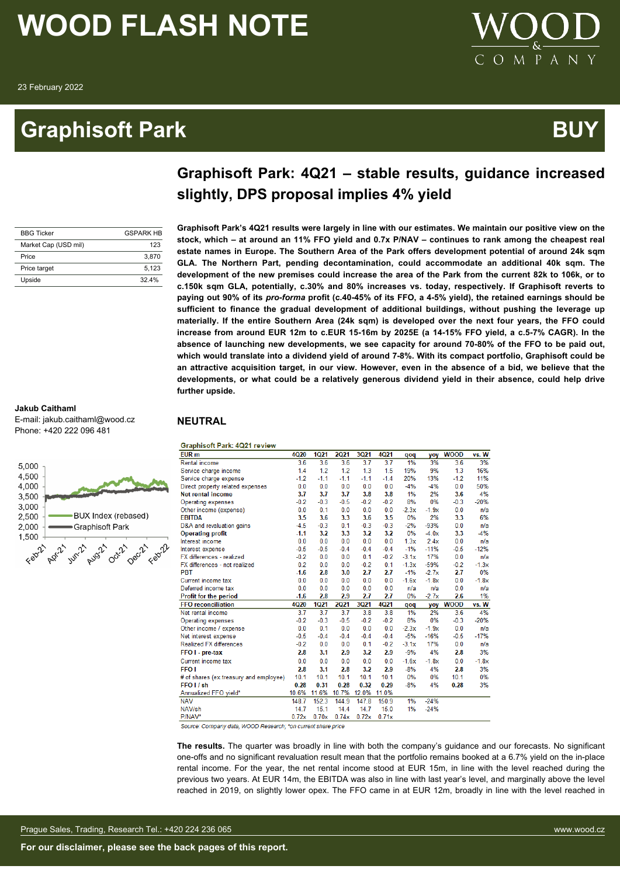### **Graphisoft Park BUY**



### **Graphisoft Park: 4Q21 – stable results, guidance increased slightly, DPS proposal implies 4% yield**

**Graphisoft Park's 4Q21 results were largely in line with our estimates. We maintain our positive view on the stock, which – at around an 11% FFO yield and 0.7x P/NAV – continues to rank among the cheapest real estate names in Europe. The Southern Area of the Park offers development potential of around 24k sqm GLA. The Northern Part, pending decontamination, could accommodate an additional 40k sqm. The development of the new premises could increase the area of the Park from the current 82k to 106k, or to**

| <b>BBG Ticker</b>    | <b>GSPARK HR</b> |
|----------------------|------------------|
| Market Cap (USD mil) | 123              |
| Price                | 3.870            |
| Price target         | 5.123            |
| Upside               | 324%             |

#### **Jakub Caithaml**

E-mail: jakub.caithaml@wood.cz Phone: +420 222 096 481



**c.150k sqm GLA, potentially, c.30% and 80% increases vs. today, respectively. If Graphisoft reverts to paying out 90% of its** *pro-forma* **profit (c.40-45% of its FFO, a 4-5% yield), the retained earnings should be sufficient to finance the gradual development of additional buildings, without pushing the leverage up materially. If the entire Southern Area (24k sqm) is developed over the next four years, the FFO could increase from around EUR 12m to c.EUR 15-16m by 2025E (a 14-15% FFO yield, a c.5-7% CAGR). In the absence of launching new developments, we see capacity for around 70-80% of the FFO to be paid out, which would translate into a dividend yield of around 7-8%. With its compact portfolio, Graphisoft could be an attractive acquisition target, in our view. However, even in the absence of a bid, we believe that the developments, or what could be a relatively generous dividend yield in their absence, could help drive further upside.**

#### **NEUTRAL**

**Graphisoft Park: 4Q21 review** 

| 3%<br>3.6<br>3.6<br>3.6<br>3.7<br>3.7<br>1%<br>3.6<br>3%<br>Rental income<br>9%<br>16%<br>1.4<br>1.2<br>1.2<br>1.3<br>1.5<br>19%<br>1.3<br>Service charge income<br>$-1.1$<br>$-1.4$<br>20%<br>13%<br>11%<br>$-1.2$<br>$-1.1$<br>$-1.1$<br>$-1.2$<br>Service charge expense<br>0.0<br>0.0<br>0.0<br>0.0<br>0.0<br>$-4%$<br>$-4%$<br>0.0<br>50%<br>Direct property related expenses<br>1%<br>2%<br><b>Net rental income</b><br>3.7<br>3.7<br>3.7<br>3.8<br>3.8<br>3.6<br>4%<br>$-0.5$<br>8%<br>0%<br>$-0.2$<br>$-0.3$<br>$-0.2$<br>$-0.2$<br>$-0.3$<br>$-20%$<br><b>Operating expenses</b><br>0.0<br>0.1<br>0.0<br>0.0<br>0.0<br>$-2.3x$<br>$-1.9x$<br>0.0<br>Other income (expense)<br>n/a<br>0%<br>6%<br><b>EBITDA</b><br>3.5<br>3.6<br>3.3<br>3.6<br>3.5<br>2%<br>3.3<br>$-0.3$<br>$-0.3$<br>$-2%$<br>$-93%$<br>0.0<br>D&A and revaluation gains<br>$-4.5$<br>$-0.3$<br>0.1<br>n/a<br>$-1.1$<br>3.2<br>3.3<br>3.2<br>3.2<br>0%<br>3.3<br>$-4%$<br>$-4.0x$<br><b>Operating profit</b><br>0.0<br>0.0<br>1.3x<br>2.4x<br>0.0<br>Interest income<br>0.0<br>0.0<br>0.0<br>n/a<br>$-1%$<br>$-11%$<br>$-12%$<br>$-0.5$<br>$-0.5$<br>$-0.4$<br>$-0.4$<br>$-0.4$<br>$-0.5$<br>Interest expense<br>0.1<br>17%<br>0.0<br>$-0.2$<br>0.0<br>0.0<br>$-0.2$<br>$-3.1x$<br>FX differences - realized<br>n/a<br>0.2<br>0.0<br>$-0.2$<br>0.1<br>$-1.3x$<br>$-59%$<br>FX differences - not realized<br>0.0<br>$-0.2$<br>$-1.3x$<br>2.7<br>$-1%$<br>2.7<br>0%<br><b>PBT</b><br>$-1.6$<br>2.8<br>3.0<br>2.7<br>$-2.7x$<br>Current income tax<br>0.0<br>0.0<br>0.0<br>0.0<br>0.0<br>$-1.6x$<br>$-1.8x$<br>0.0<br>$-1.8x$<br>Deferred income tax<br>0.0<br>0.0<br>0.0<br>0.0<br>0.0<br>0.0<br>n/a<br>n/a<br>n/a<br>$-1.6$<br>2.8<br>2.9<br>2.7<br>2.7<br>0%<br>$-2.7x$<br>2.6<br>1%<br>Profit for the period<br><b>1Q21</b><br><b>4Q20</b><br><b>2Q21</b><br>3Q21<br>4Q21<br><b>WOOD</b><br>vs. W<br><b>FFO</b> reconciliation<br>yoy<br>qoq<br>2%<br>3.7<br>3.7<br>3.7<br>3.8<br>1%<br>3.6<br>4%<br>Net rental income<br>3.8<br>$-0.2$<br>$-0.3$<br>$-0.5$<br>$-0.2$<br>$-0.2$<br>8%<br>0%<br>$-0.3$<br>$-20%$<br>Operating expenses<br>0.0<br>0.1<br>0.0<br>0.0<br>0.0<br>$-2.3x$<br>$-1.9x$<br>0.0<br>Other income / expense<br>n/a<br>$-5%$<br>$-17%$<br>$-16%$<br>$-0.5$<br>$-0.5$<br>$-0.4$<br>$-0.4$<br>$-0.4$<br>$-0.4$<br>Net interest expense<br>$-0.2$<br>0.1<br>17%<br><b>Realized FX differences</b><br>0.0<br>0.0<br>$-0.2$<br>$-3.1x$<br>0.0<br>n/a<br>$-9%$<br>4%<br>2.8<br>3.1<br>2.9<br>3.2<br>2.9<br>3%<br>FFO I - pre-tax<br>2.8<br>0.0<br>0.0<br>0.0<br>0.0<br>0.0<br>$-1.6x$<br>$-1.8x$<br>0.0<br>$-1.8x$<br>Current income tax<br><b>FFO1</b><br>$-8%$<br>4%<br>3%<br>2.8<br>3.1<br>2.8<br>3.2<br>2.9<br>2.8<br>10.1<br>10.1<br>10.1<br>10.1<br>0%<br>0%<br>10.1<br>0%<br>10.1<br># of shares (ex.treasury and employee)<br>0.28<br>0.28<br>0.32<br>0.29<br>FFO <sub>I</sub> / sh<br>0.31<br>$-8%$<br>4%<br>0.28<br>3%<br>11.0%<br>10.6%<br>11.6%<br>10.7%<br>12.0%<br>Annualized FFO vield*<br>152.3<br>$-24%$<br>148.7<br>144.9<br>147.8<br>150.9<br>1%<br><b>NAV</b><br>15.0<br>NAV/sh<br>14.7<br>15.1<br>14.4<br>14.7<br>1%<br>$-24%$<br>P/NAV*<br>0.70x<br>0.72x<br>0.71x<br>0.72x<br>0.74x | EUR <sub>m</sub> | <b>4Q20</b> | <b>1Q21</b> | 2021 | 3Q21 | 4Q21 | qoq | yoy | <b>WOOD</b> | vs. W |
|----------------------------------------------------------------------------------------------------------------------------------------------------------------------------------------------------------------------------------------------------------------------------------------------------------------------------------------------------------------------------------------------------------------------------------------------------------------------------------------------------------------------------------------------------------------------------------------------------------------------------------------------------------------------------------------------------------------------------------------------------------------------------------------------------------------------------------------------------------------------------------------------------------------------------------------------------------------------------------------------------------------------------------------------------------------------------------------------------------------------------------------------------------------------------------------------------------------------------------------------------------------------------------------------------------------------------------------------------------------------------------------------------------------------------------------------------------------------------------------------------------------------------------------------------------------------------------------------------------------------------------------------------------------------------------------------------------------------------------------------------------------------------------------------------------------------------------------------------------------------------------------------------------------------------------------------------------------------------------------------------------------------------------------------------------------------------------------------------------------------------------------------------------------------------------------------------------------------------------------------------------------------------------------------------------------------------------------------------------------------------------------------------------------------------------------------------------------------------------------------------------------------------------------------------------------------------------------------------------------------------------------------------------------------------------------------------------------------------------------------------------------------------------------------------------------------------------------------------------------------------------------------------------------------------------------------------------------------------------------------------------------------------------------------------------------------------------------------------------------------------------------------------------------------------------------------------|------------------|-------------|-------------|------|------|------|-----|-----|-------------|-------|
|                                                                                                                                                                                                                                                                                                                                                                                                                                                                                                                                                                                                                                                                                                                                                                                                                                                                                                                                                                                                                                                                                                                                                                                                                                                                                                                                                                                                                                                                                                                                                                                                                                                                                                                                                                                                                                                                                                                                                                                                                                                                                                                                                                                                                                                                                                                                                                                                                                                                                                                                                                                                                                                                                                                                                                                                                                                                                                                                                                                                                                                                                                                                                                                                    |                  |             |             |      |      |      |     |     |             |       |
|                                                                                                                                                                                                                                                                                                                                                                                                                                                                                                                                                                                                                                                                                                                                                                                                                                                                                                                                                                                                                                                                                                                                                                                                                                                                                                                                                                                                                                                                                                                                                                                                                                                                                                                                                                                                                                                                                                                                                                                                                                                                                                                                                                                                                                                                                                                                                                                                                                                                                                                                                                                                                                                                                                                                                                                                                                                                                                                                                                                                                                                                                                                                                                                                    |                  |             |             |      |      |      |     |     |             |       |
|                                                                                                                                                                                                                                                                                                                                                                                                                                                                                                                                                                                                                                                                                                                                                                                                                                                                                                                                                                                                                                                                                                                                                                                                                                                                                                                                                                                                                                                                                                                                                                                                                                                                                                                                                                                                                                                                                                                                                                                                                                                                                                                                                                                                                                                                                                                                                                                                                                                                                                                                                                                                                                                                                                                                                                                                                                                                                                                                                                                                                                                                                                                                                                                                    |                  |             |             |      |      |      |     |     |             |       |
|                                                                                                                                                                                                                                                                                                                                                                                                                                                                                                                                                                                                                                                                                                                                                                                                                                                                                                                                                                                                                                                                                                                                                                                                                                                                                                                                                                                                                                                                                                                                                                                                                                                                                                                                                                                                                                                                                                                                                                                                                                                                                                                                                                                                                                                                                                                                                                                                                                                                                                                                                                                                                                                                                                                                                                                                                                                                                                                                                                                                                                                                                                                                                                                                    |                  |             |             |      |      |      |     |     |             |       |
|                                                                                                                                                                                                                                                                                                                                                                                                                                                                                                                                                                                                                                                                                                                                                                                                                                                                                                                                                                                                                                                                                                                                                                                                                                                                                                                                                                                                                                                                                                                                                                                                                                                                                                                                                                                                                                                                                                                                                                                                                                                                                                                                                                                                                                                                                                                                                                                                                                                                                                                                                                                                                                                                                                                                                                                                                                                                                                                                                                                                                                                                                                                                                                                                    |                  |             |             |      |      |      |     |     |             |       |
|                                                                                                                                                                                                                                                                                                                                                                                                                                                                                                                                                                                                                                                                                                                                                                                                                                                                                                                                                                                                                                                                                                                                                                                                                                                                                                                                                                                                                                                                                                                                                                                                                                                                                                                                                                                                                                                                                                                                                                                                                                                                                                                                                                                                                                                                                                                                                                                                                                                                                                                                                                                                                                                                                                                                                                                                                                                                                                                                                                                                                                                                                                                                                                                                    |                  |             |             |      |      |      |     |     |             |       |
|                                                                                                                                                                                                                                                                                                                                                                                                                                                                                                                                                                                                                                                                                                                                                                                                                                                                                                                                                                                                                                                                                                                                                                                                                                                                                                                                                                                                                                                                                                                                                                                                                                                                                                                                                                                                                                                                                                                                                                                                                                                                                                                                                                                                                                                                                                                                                                                                                                                                                                                                                                                                                                                                                                                                                                                                                                                                                                                                                                                                                                                                                                                                                                                                    |                  |             |             |      |      |      |     |     |             |       |
|                                                                                                                                                                                                                                                                                                                                                                                                                                                                                                                                                                                                                                                                                                                                                                                                                                                                                                                                                                                                                                                                                                                                                                                                                                                                                                                                                                                                                                                                                                                                                                                                                                                                                                                                                                                                                                                                                                                                                                                                                                                                                                                                                                                                                                                                                                                                                                                                                                                                                                                                                                                                                                                                                                                                                                                                                                                                                                                                                                                                                                                                                                                                                                                                    |                  |             |             |      |      |      |     |     |             |       |
|                                                                                                                                                                                                                                                                                                                                                                                                                                                                                                                                                                                                                                                                                                                                                                                                                                                                                                                                                                                                                                                                                                                                                                                                                                                                                                                                                                                                                                                                                                                                                                                                                                                                                                                                                                                                                                                                                                                                                                                                                                                                                                                                                                                                                                                                                                                                                                                                                                                                                                                                                                                                                                                                                                                                                                                                                                                                                                                                                                                                                                                                                                                                                                                                    |                  |             |             |      |      |      |     |     |             |       |
|                                                                                                                                                                                                                                                                                                                                                                                                                                                                                                                                                                                                                                                                                                                                                                                                                                                                                                                                                                                                                                                                                                                                                                                                                                                                                                                                                                                                                                                                                                                                                                                                                                                                                                                                                                                                                                                                                                                                                                                                                                                                                                                                                                                                                                                                                                                                                                                                                                                                                                                                                                                                                                                                                                                                                                                                                                                                                                                                                                                                                                                                                                                                                                                                    |                  |             |             |      |      |      |     |     |             |       |
|                                                                                                                                                                                                                                                                                                                                                                                                                                                                                                                                                                                                                                                                                                                                                                                                                                                                                                                                                                                                                                                                                                                                                                                                                                                                                                                                                                                                                                                                                                                                                                                                                                                                                                                                                                                                                                                                                                                                                                                                                                                                                                                                                                                                                                                                                                                                                                                                                                                                                                                                                                                                                                                                                                                                                                                                                                                                                                                                                                                                                                                                                                                                                                                                    |                  |             |             |      |      |      |     |     |             |       |
|                                                                                                                                                                                                                                                                                                                                                                                                                                                                                                                                                                                                                                                                                                                                                                                                                                                                                                                                                                                                                                                                                                                                                                                                                                                                                                                                                                                                                                                                                                                                                                                                                                                                                                                                                                                                                                                                                                                                                                                                                                                                                                                                                                                                                                                                                                                                                                                                                                                                                                                                                                                                                                                                                                                                                                                                                                                                                                                                                                                                                                                                                                                                                                                                    |                  |             |             |      |      |      |     |     |             |       |
|                                                                                                                                                                                                                                                                                                                                                                                                                                                                                                                                                                                                                                                                                                                                                                                                                                                                                                                                                                                                                                                                                                                                                                                                                                                                                                                                                                                                                                                                                                                                                                                                                                                                                                                                                                                                                                                                                                                                                                                                                                                                                                                                                                                                                                                                                                                                                                                                                                                                                                                                                                                                                                                                                                                                                                                                                                                                                                                                                                                                                                                                                                                                                                                                    |                  |             |             |      |      |      |     |     |             |       |
|                                                                                                                                                                                                                                                                                                                                                                                                                                                                                                                                                                                                                                                                                                                                                                                                                                                                                                                                                                                                                                                                                                                                                                                                                                                                                                                                                                                                                                                                                                                                                                                                                                                                                                                                                                                                                                                                                                                                                                                                                                                                                                                                                                                                                                                                                                                                                                                                                                                                                                                                                                                                                                                                                                                                                                                                                                                                                                                                                                                                                                                                                                                                                                                                    |                  |             |             |      |      |      |     |     |             |       |
|                                                                                                                                                                                                                                                                                                                                                                                                                                                                                                                                                                                                                                                                                                                                                                                                                                                                                                                                                                                                                                                                                                                                                                                                                                                                                                                                                                                                                                                                                                                                                                                                                                                                                                                                                                                                                                                                                                                                                                                                                                                                                                                                                                                                                                                                                                                                                                                                                                                                                                                                                                                                                                                                                                                                                                                                                                                                                                                                                                                                                                                                                                                                                                                                    |                  |             |             |      |      |      |     |     |             |       |
|                                                                                                                                                                                                                                                                                                                                                                                                                                                                                                                                                                                                                                                                                                                                                                                                                                                                                                                                                                                                                                                                                                                                                                                                                                                                                                                                                                                                                                                                                                                                                                                                                                                                                                                                                                                                                                                                                                                                                                                                                                                                                                                                                                                                                                                                                                                                                                                                                                                                                                                                                                                                                                                                                                                                                                                                                                                                                                                                                                                                                                                                                                                                                                                                    |                  |             |             |      |      |      |     |     |             |       |
|                                                                                                                                                                                                                                                                                                                                                                                                                                                                                                                                                                                                                                                                                                                                                                                                                                                                                                                                                                                                                                                                                                                                                                                                                                                                                                                                                                                                                                                                                                                                                                                                                                                                                                                                                                                                                                                                                                                                                                                                                                                                                                                                                                                                                                                                                                                                                                                                                                                                                                                                                                                                                                                                                                                                                                                                                                                                                                                                                                                                                                                                                                                                                                                                    |                  |             |             |      |      |      |     |     |             |       |
|                                                                                                                                                                                                                                                                                                                                                                                                                                                                                                                                                                                                                                                                                                                                                                                                                                                                                                                                                                                                                                                                                                                                                                                                                                                                                                                                                                                                                                                                                                                                                                                                                                                                                                                                                                                                                                                                                                                                                                                                                                                                                                                                                                                                                                                                                                                                                                                                                                                                                                                                                                                                                                                                                                                                                                                                                                                                                                                                                                                                                                                                                                                                                                                                    |                  |             |             |      |      |      |     |     |             |       |
|                                                                                                                                                                                                                                                                                                                                                                                                                                                                                                                                                                                                                                                                                                                                                                                                                                                                                                                                                                                                                                                                                                                                                                                                                                                                                                                                                                                                                                                                                                                                                                                                                                                                                                                                                                                                                                                                                                                                                                                                                                                                                                                                                                                                                                                                                                                                                                                                                                                                                                                                                                                                                                                                                                                                                                                                                                                                                                                                                                                                                                                                                                                                                                                                    |                  |             |             |      |      |      |     |     |             |       |
|                                                                                                                                                                                                                                                                                                                                                                                                                                                                                                                                                                                                                                                                                                                                                                                                                                                                                                                                                                                                                                                                                                                                                                                                                                                                                                                                                                                                                                                                                                                                                                                                                                                                                                                                                                                                                                                                                                                                                                                                                                                                                                                                                                                                                                                                                                                                                                                                                                                                                                                                                                                                                                                                                                                                                                                                                                                                                                                                                                                                                                                                                                                                                                                                    |                  |             |             |      |      |      |     |     |             |       |
|                                                                                                                                                                                                                                                                                                                                                                                                                                                                                                                                                                                                                                                                                                                                                                                                                                                                                                                                                                                                                                                                                                                                                                                                                                                                                                                                                                                                                                                                                                                                                                                                                                                                                                                                                                                                                                                                                                                                                                                                                                                                                                                                                                                                                                                                                                                                                                                                                                                                                                                                                                                                                                                                                                                                                                                                                                                                                                                                                                                                                                                                                                                                                                                                    |                  |             |             |      |      |      |     |     |             |       |
|                                                                                                                                                                                                                                                                                                                                                                                                                                                                                                                                                                                                                                                                                                                                                                                                                                                                                                                                                                                                                                                                                                                                                                                                                                                                                                                                                                                                                                                                                                                                                                                                                                                                                                                                                                                                                                                                                                                                                                                                                                                                                                                                                                                                                                                                                                                                                                                                                                                                                                                                                                                                                                                                                                                                                                                                                                                                                                                                                                                                                                                                                                                                                                                                    |                  |             |             |      |      |      |     |     |             |       |
|                                                                                                                                                                                                                                                                                                                                                                                                                                                                                                                                                                                                                                                                                                                                                                                                                                                                                                                                                                                                                                                                                                                                                                                                                                                                                                                                                                                                                                                                                                                                                                                                                                                                                                                                                                                                                                                                                                                                                                                                                                                                                                                                                                                                                                                                                                                                                                                                                                                                                                                                                                                                                                                                                                                                                                                                                                                                                                                                                                                                                                                                                                                                                                                                    |                  |             |             |      |      |      |     |     |             |       |
|                                                                                                                                                                                                                                                                                                                                                                                                                                                                                                                                                                                                                                                                                                                                                                                                                                                                                                                                                                                                                                                                                                                                                                                                                                                                                                                                                                                                                                                                                                                                                                                                                                                                                                                                                                                                                                                                                                                                                                                                                                                                                                                                                                                                                                                                                                                                                                                                                                                                                                                                                                                                                                                                                                                                                                                                                                                                                                                                                                                                                                                                                                                                                                                                    |                  |             |             |      |      |      |     |     |             |       |
|                                                                                                                                                                                                                                                                                                                                                                                                                                                                                                                                                                                                                                                                                                                                                                                                                                                                                                                                                                                                                                                                                                                                                                                                                                                                                                                                                                                                                                                                                                                                                                                                                                                                                                                                                                                                                                                                                                                                                                                                                                                                                                                                                                                                                                                                                                                                                                                                                                                                                                                                                                                                                                                                                                                                                                                                                                                                                                                                                                                                                                                                                                                                                                                                    |                  |             |             |      |      |      |     |     |             |       |
|                                                                                                                                                                                                                                                                                                                                                                                                                                                                                                                                                                                                                                                                                                                                                                                                                                                                                                                                                                                                                                                                                                                                                                                                                                                                                                                                                                                                                                                                                                                                                                                                                                                                                                                                                                                                                                                                                                                                                                                                                                                                                                                                                                                                                                                                                                                                                                                                                                                                                                                                                                                                                                                                                                                                                                                                                                                                                                                                                                                                                                                                                                                                                                                                    |                  |             |             |      |      |      |     |     |             |       |
|                                                                                                                                                                                                                                                                                                                                                                                                                                                                                                                                                                                                                                                                                                                                                                                                                                                                                                                                                                                                                                                                                                                                                                                                                                                                                                                                                                                                                                                                                                                                                                                                                                                                                                                                                                                                                                                                                                                                                                                                                                                                                                                                                                                                                                                                                                                                                                                                                                                                                                                                                                                                                                                                                                                                                                                                                                                                                                                                                                                                                                                                                                                                                                                                    |                  |             |             |      |      |      |     |     |             |       |
|                                                                                                                                                                                                                                                                                                                                                                                                                                                                                                                                                                                                                                                                                                                                                                                                                                                                                                                                                                                                                                                                                                                                                                                                                                                                                                                                                                                                                                                                                                                                                                                                                                                                                                                                                                                                                                                                                                                                                                                                                                                                                                                                                                                                                                                                                                                                                                                                                                                                                                                                                                                                                                                                                                                                                                                                                                                                                                                                                                                                                                                                                                                                                                                                    |                  |             |             |      |      |      |     |     |             |       |
|                                                                                                                                                                                                                                                                                                                                                                                                                                                                                                                                                                                                                                                                                                                                                                                                                                                                                                                                                                                                                                                                                                                                                                                                                                                                                                                                                                                                                                                                                                                                                                                                                                                                                                                                                                                                                                                                                                                                                                                                                                                                                                                                                                                                                                                                                                                                                                                                                                                                                                                                                                                                                                                                                                                                                                                                                                                                                                                                                                                                                                                                                                                                                                                                    |                  |             |             |      |      |      |     |     |             |       |
|                                                                                                                                                                                                                                                                                                                                                                                                                                                                                                                                                                                                                                                                                                                                                                                                                                                                                                                                                                                                                                                                                                                                                                                                                                                                                                                                                                                                                                                                                                                                                                                                                                                                                                                                                                                                                                                                                                                                                                                                                                                                                                                                                                                                                                                                                                                                                                                                                                                                                                                                                                                                                                                                                                                                                                                                                                                                                                                                                                                                                                                                                                                                                                                                    |                  |             |             |      |      |      |     |     |             |       |
|                                                                                                                                                                                                                                                                                                                                                                                                                                                                                                                                                                                                                                                                                                                                                                                                                                                                                                                                                                                                                                                                                                                                                                                                                                                                                                                                                                                                                                                                                                                                                                                                                                                                                                                                                                                                                                                                                                                                                                                                                                                                                                                                                                                                                                                                                                                                                                                                                                                                                                                                                                                                                                                                                                                                                                                                                                                                                                                                                                                                                                                                                                                                                                                                    |                  |             |             |      |      |      |     |     |             |       |
|                                                                                                                                                                                                                                                                                                                                                                                                                                                                                                                                                                                                                                                                                                                                                                                                                                                                                                                                                                                                                                                                                                                                                                                                                                                                                                                                                                                                                                                                                                                                                                                                                                                                                                                                                                                                                                                                                                                                                                                                                                                                                                                                                                                                                                                                                                                                                                                                                                                                                                                                                                                                                                                                                                                                                                                                                                                                                                                                                                                                                                                                                                                                                                                                    |                  |             |             |      |      |      |     |     |             |       |
|                                                                                                                                                                                                                                                                                                                                                                                                                                                                                                                                                                                                                                                                                                                                                                                                                                                                                                                                                                                                                                                                                                                                                                                                                                                                                                                                                                                                                                                                                                                                                                                                                                                                                                                                                                                                                                                                                                                                                                                                                                                                                                                                                                                                                                                                                                                                                                                                                                                                                                                                                                                                                                                                                                                                                                                                                                                                                                                                                                                                                                                                                                                                                                                                    |                  |             |             |      |      |      |     |     |             |       |

Source: Company data, WOOD Research: \*on current share price

**The results.** The quarter was broadly in line with both the company's guidance and our forecasts. No significant one-offs and no significant revaluation result mean that the portfolio remains booked at a 6.7% yield on the in-place rental income. For the year, the net rental income stood at EUR 15m, in line with the level reached during the previous two years. At EUR 14m, the EBITDA was also in line with last year's level, and marginally above the level reached in 2019, on slightly lower opex. The FFO came in at EUR 12m, broadly in line with the level reached in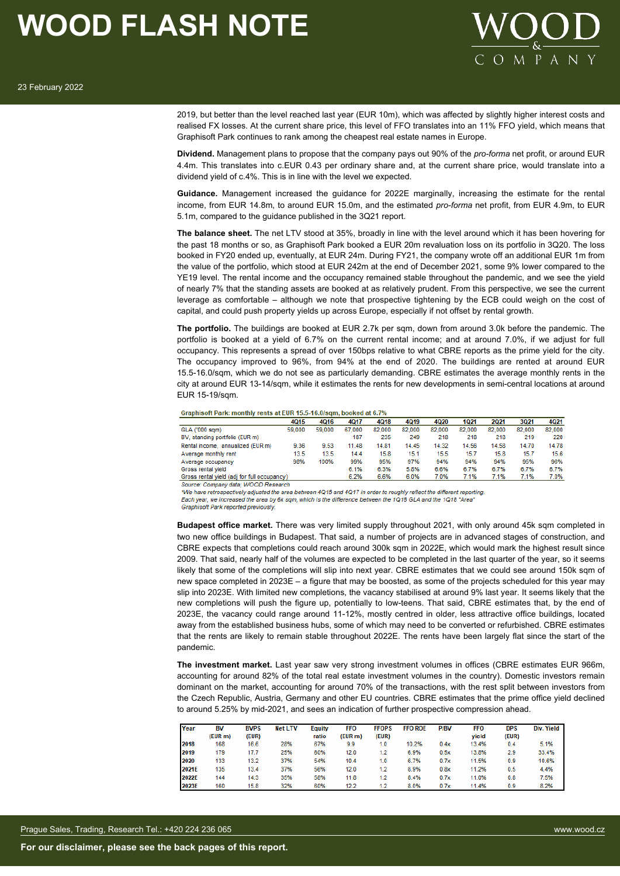

2019, but better than the level reached last year (EUR 10m), which was affected by slightly higher interest costs and realised FX losses. At the current share price, this level of FFO translates into an 11% FFO yield, which means that Graphisoft Park continues to rank among the cheapest real estate names in Europe.

**Dividend.** Management plans to propose that the company pays out 90% of the *pro-forma* net profit, or around EUR 4.4m. This translates into c.EUR 0.43 per ordinary share and, at the current share price, would translate into a dividend yield of c.4%. This is in line with the level we expected.

**Guidance.** Management increased the guidance for 2022E marginally, increasing the estimate for the rental income, from EUR 14.8m, to around EUR 15.0m, and the estimated *pro-forma* net profit, from EUR 4.9m, to EUR 5.1m, compared to the guidance published in the 3Q21 report.

**The balance sheet.** The net LTV stood at 35%, broadly in line with the level around which it has been hovering for the past 18 months or so, as Graphisoft Park booked a EUR 20m revaluation loss on its portfolio in 3Q20. The loss booked in FY20 ended up, eventually, at EUR 24m. During FY21, the company wrote off an additional EUR 1m from the value of the portfolio, which stood at EUR 242m at the end of December 2021, some 9% lower compared to the YE19 level. The rental income and the occupancy remained stable throughout the pandemic, and we see the yield of nearly 7% that the standing assets are booked at as relatively prudent. From this perspective, we see the current leverage as comfortable – although we note that prospective tightening by the ECB could weigh on the cost of capital, and could push property yields up across Europe, especially if not offset by rental growth.

**The portfolio.** The buildings are booked at EUR 2.7k per sqm, down from around 3.0k before the pandemic. The portfolio is booked at a yield of 6.7% on the current rental income; and at around 7.0%, if we adjust for full occupancy. This represents a spread of over 150bps relative to what CBRE reports as the prime yield for the city. The occupancy improved to 96%, from 94% at the end of 2020. The buildings are rented at around EUR 15.5-16.0/sqm, which we do not see as particularly demanding. CBRE estimates the average monthly rents in the city at around EUR 13-14/sqm, while it estimates the rents for new developments in semi-central locations at around EUR 15-19/sqm.

Graphisoft Park: monthly rents at EUR 15.5-16.0/sqm, booked at 6.7%

|                                             | <b>4015</b> | <b>4016</b> | 4017   | <b>4018</b> | 4Q19   | <b>4020</b> | 1021   | 2021   | 3Q21   | 4Q21   |
|---------------------------------------------|-------------|-------------|--------|-------------|--------|-------------|--------|--------|--------|--------|
| GLA ('000 sqm)                              | 59,000      | 59,000      | 67.000 | 82.000      | 82.000 | 82.000      | 82.000 | 82.000 | 82,000 | 82,000 |
| BV, standing portfolio (EUR m)              |             |             | 187    | 235         | 249    | 218         | 218    | 218    | 219    | 220    |
| Rental income, annualized (EUR m)           | 9.36        | 9.53        | 11.48  | 14.81       | 14.45  | 14.32       | 14.56  | 14.58  | 14.70  | 14.78  |
| Average monthly rent                        | 13.5        | 13.5        | 14.4   | 15.8        | 15.1   | 15.5        | 15.7   | 15.8   | 15.7   | 15.6   |
| Average occupancy                           | 98%         | 100%        | 99%    | 95%         | 97%    | 94%         | 94%    | 94%    | 95%    | 96%    |
| Gross rental yield                          |             |             | 6.1%   | 6.3%        | 5.8%   | 6.6%        | 6.7%   | 6.7%   | 6.7%   | 6.7%   |
| Gross rental yield (adj for full occupancy) |             |             | 6.2%   | 6.6%        | 6.0%   | 7.0%        | 7.1%   | 7.1%   | 7.1%   | 7.0%   |

Source: Company data; WOOD Research

\*We have retrospectively adjusted the area between 4Q15 and 4Q17 in order to roughly reflect the different reporting Each year, we increased the area by 6k sqm, which is the difference between the 1Q18 GLA and the 1Q18 "Area"

Graphisoft Park reported previously

**Budapest office market.** There was very limited supply throughout 2021, with only around 45k sqm completed in two new office buildings in Budapest. That said, a number of projects are in advanced stages of construction, and CBRE expects that completions could reach around 300k sqm in 2022E, which would mark the highest result since 2009. That said, nearly half of the volumes are expected to be completed in the last quarter of the year, so it seems likely that some of the completions will slip into next year. CBRE estimates that we could see around 150k sqm of new space completed in 2023E – a figure that may be boosted, as some of the projects scheduled for this year may slip into 2023E. With limited new completions, the vacancy stabilised at around 9% last year. It seems likely that the new completions will push the figure up, potentially to low-teens. That said, CBRE estimates that, by the end of 2023E, the vacancy could range around 11-12%, mostly centred in older, less attractive office buildings, located away from the established business hubs, some of which may need to be converted or refurbished. CBRE estimates that the rents are likely to remain stable throughout 2022E. The rents have been largely flat since the start of the pandemic.

**The investment market.** Last year saw very strong investment volumes in offices (CBRE estimates EUR 966m, accounting for around 82% of the total real estate investment volumes in the country). Domestic investors remain dominant on the market, accounting for around 70% of the transactions, with the rest split between investors from the Czech Republic, Austria, Germany and other EU countries. CBRE estimates that the prime office yield declined to around 5.25% by mid-2021, and sees an indication of further prospective compression ahead.

| Year  | <b>BV</b> | <b>BVPS</b> | <b>Net LTV</b> | Equity | <b>FFO</b> | <b>FFOPS</b> | <b>FFO ROE</b> | P/BV | <b>FFO</b> | <b>DPS</b> | Div. Yield |
|-------|-----------|-------------|----------------|--------|------------|--------------|----------------|------|------------|------------|------------|
|       | (EUR m)   | (EUR)       |                | ratio  | (EUR m)    | (EUR)        |                |      | yield      | (EUR)      |            |
| 2018  | 168       | 16.6        | 28%            | 67%    | 9.9        | 1.0          | 10.2%          | 0.4x | 13.4%      | 0.4        | 5.1%       |
| 2019  | 179       | 17.7        | 25%            | 60%    | 12.0       | 1.2          | 6.9%           | 0.5x | 13.8%      | 2.9        | 33.4%      |
| 2020  | 133       | 13.2        | 37%            | 54%    | 10.4       | 1.0          | 6.7%           | 0.7x | 11.5%      | 0.9        | 10.6%      |
| 2021E | 135       | 13.4        | 37%            | 56%    | 12.0       | 1.2          | 8.9%           | 0.8x | 11.2%      | 0.5        | 4.4%       |
| 2022E | 144       | 14.3        | 35%            | 58%    | 11.8       | 1.2          | 8.4%           | 0.7x | 11.0%      | 0.8        | 7.5%       |
| 2023E | 160       | 15.8        | 32%            | 60%    | 12.2       | 1.2          | 8.0%           | 0.7x | 11.4%      | 0.9        | 8.2%       |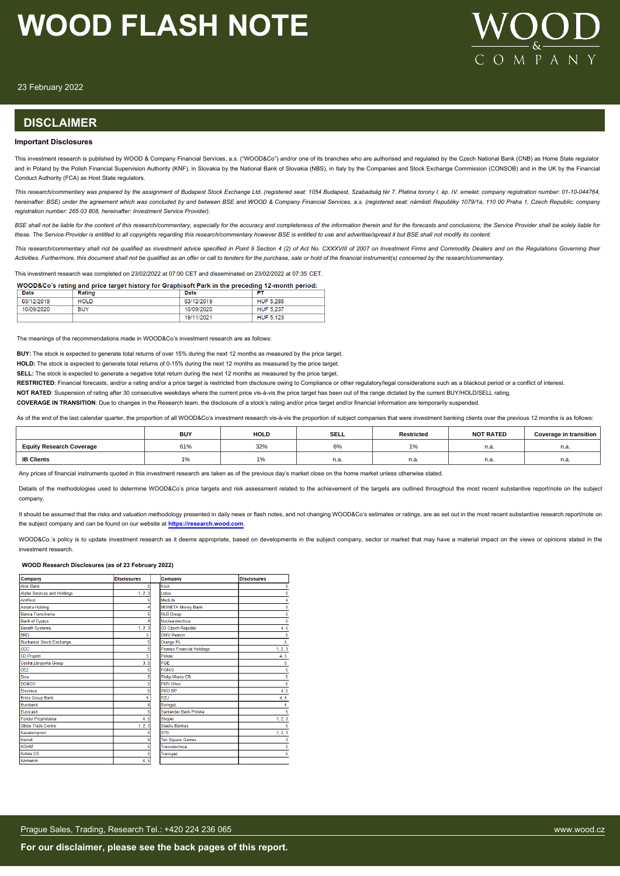

23 February 2022

### **DISCLAIMER**

#### **Important Disclosures**

This investment research is published by WOOD & Company Financial Services, a.s. ("WOOD&Co") and/or one of its branches who are authorised and regulated by the Czech National Bank (CNB) as Home State regulator and in Poland by the Polish Financial Supervision Authority (KNF), in Slovakia by the National Bank of Slovakia (NBS), in Italy by the Companies and Stock Exchange Commission (CONSOB) and in the UK by the Financial Conduct Authority (FCA) as Host State regulators.

This research/commentary was prepared by the assignment of Budapest Stock Exchange Ltd. (registered seat: 1054 Budapest, Szabadság tér 7. Platina torony I. ép. IV. emelet; company registration number: 01-10-044764, hereinafter: BSE) under the agreement which was concluded by and between BSE and WOOD & Company Financial Services, a.s. (registered seat: náměstí Republiky 1079/1a, 110 00 Praha 1, Czech Republic; company *registration number: 265 03 808, hereinafter: Investment Service Provider).*

BSE shall not be liable for the content of this research/commentary, especially for the accuracy and completeness of the information therein and for the forecasts and conclusions; the Service Provider shall be solely liabl *these. The Service Provider is entitled to all copyrights regarding this research/commentary however BSE is entitled to use and advertise/spread it but BSE shall not modify its content.*

This research/commentary shall not be qualified as investment advice specified in Point 9 Section 4 (2) of Act No. CXXXVIII of 2007 on Investment Firms and Commodity Dealers and on the Regulations Governing their *Activities. Furthermore, this document shall not be qualified as an offer or call to tenders for the purchase, sale or hold of the financial instrument(s) concerned by the research/commentary.*

This investment research was completed on 23/02/2022 at 07:00 CET and disseminated on 23/02/2022 at 07:35 CET.

WOOD&Co's rating and price target history for Graphisoft Park in the preceding 12-month period:

| Date       | Rating      | Date       | PТ               |
|------------|-------------|------------|------------------|
| 03/12/2019 | <b>HOLD</b> | 03/12/2019 | <b>HUF 5,285</b> |
| 10/09/2020 | <b>BUY</b>  | 10/09/2020 | <b>HUF 5.237</b> |
|            |             | 19/11/2021 | HUF 5.123        |

The meanings of the recommendations made in WOOD&Co's investment research are as follo

**BUY:** The stock is expected to generate total returns of over 15% during the next 12 months as measured by the price target.

**HOLD:** The stock is expected to generate total returns of 0-15% during the next 12 months as measured by the price target.

**SELL:** The stock is expected to generate a negative total return during the next 12 months as measured by the price target.

RESTRICTED: Financial forecasts, and/or a rating and/or a price target is restricted from disclosure owing to Compliance or other regulatory/legal considerations such as a blackout period or a conflict of interest.

**NOT RATED**: Suspension of rating after 30 consecutive weekdays where the current price vis-à-vis the price target has been out of the range dictated by the current BUY/HOLD/SELL rating.

**COVERAGE IN TRANSITION**: Due to changes in the Research team, the disclosure of a stock's rating and/or price target and/or financial information are temporarily suspended.

As of the end of the last calendar quarter, the proportion of all WOOD&Co's investment research vis-à-vis the proportion of subject companies that were investment banking clients over the previous 12 months is as follows:

|                                 | <b>BUY</b> | <b>HOLD</b> | <b>SELL</b> | Restricted                    | <b>NOT RATED</b> | Coverage in transition |
|---------------------------------|------------|-------------|-------------|-------------------------------|------------------|------------------------|
| <b>Equity Research Coverage</b> | 61%        | 32%         | 6%          | $\overline{A}$ $\overline{A}$ | n.a              | n.a.                   |
| <b>IB Clients</b>               | l 7o       | 1%          | n.a.        | n.a.                          | n.a              | n.a.                   |
|                                 |            |             |             |                               |                  |                        |

Any prices of financial instruments quoted in this investment research are taken as of the previous day's market close on the home market unless otherwise stated

Details of the methodologies used to determine WOOD&Co's price targets and risk assessment related to the achievement of the targets are outlined throughout the most recent substantive report/note on the subject company.

It should be assumed that the risks and valuation methodology presented in daily news or flash notes, and not changing WOOD&Co's estimates or ratings, are as set out in the most recent substantive research report/note on the subject company and can be found on our website at **[https://research.wood.com](https://research.wood.com/)**.

WOOD&Co.'s policy is to update investment research as it deems appropriate, based on developments in the subject company, sector or market that may have a material impact on the views or opinions stated in the investment research.

#### **WOOD Research Disclosures (as of 23 February 2022)**

| Company                            | <b>Disclosures</b> | Company                           | <b>Disclosures</b> |
|------------------------------------|--------------------|-----------------------------------|--------------------|
| <b>Alior Bank</b>                  | 51                 | Kruk                              | 5                  |
| <b>Alpha Services and Holdings</b> | 1, 2, 3            | Lotos                             | 5                  |
| AmRest                             |                    | Medl ife                          | 4                  |
| <b>Astarta Holding</b>             |                    | <b>MONETA Money Bank</b>          | 5                  |
| Banca Transilvania                 |                    | <b>NLB Group</b>                  | 5                  |
| <b>Bank of Cyprus</b>              |                    | Nuclearelectrica                  | 5                  |
| <b>Benefit Systems</b>             | 1, 2, 3            | O2 Czech Republic                 | 4, 5               |
| <b>BRD</b>                         | 5                  | <b>OMV Petrom</b>                 | 5                  |
| <b>Bucharest Stock Exchange</b>    |                    | Orange PL                         | 5                  |
| ccc                                |                    | <b>Piraeus Financial Holdings</b> | 1, 2, 3            |
| <b>CD Projekt</b>                  | 5                  | Pekao                             | 4, 5               |
| Ceska zbrojovka Group              | 3.5                | PGF                               | 5                  |
| CEZ                                |                    | <b>PGNiG</b>                      | 5                  |
| Dino                               |                    | <b>Philip Morris CR</b>           | 5                  |
| <b>DO&amp;CO</b>                   |                    | <b>PKN Orlen</b>                  | 5                  |
| Electrica                          |                    | PKO BP                            | 4, 5               |
| <b>Erste Group Bank</b>            | 5                  | PZU                               | 4, 5               |
| Furobank                           |                    | Romgaz                            | 5                  |
| Eurocash                           |                    | Santander Bank Polska             | 5                  |
| <b>Fondul Proprietatea</b>         | 4.5                | Shoper                            | 1, 2, 3            |
| <b>Globe Trade Centre</b>          | 1, 2, 3            | Siauliu Bankas                    | 5                  |
| Kazatomprom                        |                    | <b>STS</b>                        | 1, 2, 3            |
| Kernel                             |                    | <b>Ten Square Games</b>           | 3                  |
| <b>KGHM</b>                        |                    | Transelectrica                    | 5                  |
| Kofola CS                          |                    | Transgaz                          | 5                  |
| Komercni                           | 4, 5               |                                   |                    |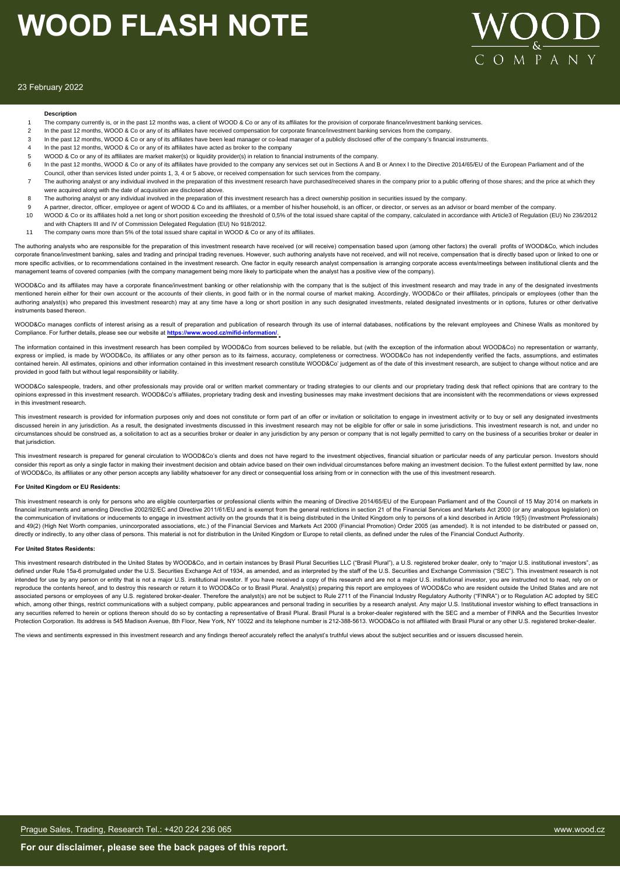

#### 23 February 2022

#### **Description**

- The company currently is, or in the past 12 months was, a client of WOOD & Co or any of its affiliates for the provision of corporate finance/investment banking services.
- 2 In the past 12 months, WOOD & Co or any of its affiliates have received compensation for corporate finance/investment banking services from the company
- 3 In the past 12 months, WOOD & Co or any of its affiliates have been lead manager or co-lead manager of a publicly disclosed offer of the company's financial instruments.
- 4 In the past 12 months, WOOD & Co or any of its affiliates have acted as broker to the company
- 5 WOOD & Co or any of its affiliates are market maker(s) or liquidity provider(s) in relation to financial instruments of the company.
- 6 In the past 12 months, WOOD & Co or any of its affiliates have provided to the company any services set out in Sections A and B or Annex I to the Directive 2014/65/EU of the European Parliament and of the
- Council, other than services listed under points 1, 3, 4 or 5 above, or received compensation for such services from the company. The authoring analyst or any individual involved in the preparation of this investment research have purchased/received shares in the company prior to a public offering of those shares; and the price at which they
- were acquired along with the date of acquisition are disclosed above. 8 The authoring analyst or any individual involved in the preparation of this investment research has a direct ownership position in securities issued by the company.
- 
- 9 A partner, director, officer, employee or agent of WOOD & Co and its affiliates, or a member of this/her household, is an officer, or director, or serves as an advisor or board member of the company.
- 10 WOOD & Co or its affiliates hold a net long or short position exceeding the threshold of 0,5% of the total issued share capital of the company, calculated in accordance with Article3 of Regulation (EU) No 236/2012 and with Chapters III and IV of Commission Delegated Regulation (EU) No 918/2012.
- 11 The company owns more than 5% of the total issued share capital in WOOD & Co or any of its affiliates.

The authoring analysts who are responsible for the preparation of this investment research have received (or will receive) compensation based upon (among other factors) the overall profits of WOOD&Co, which includes corporate finance/investment banking, sales and trading and principal trading revenues. However, such authoring analysts have not received, and will not receive, compensation that is directly based upon or linked to one or more specific activities, or to recommendations contained in the investment research. One factor in equity research analyst compensation is arranging corporate access events/meetings between institutional clients and the management teams of covered companies (with the company management being more likely to participate when the analyst has a positive view of the company).

WOOD&Co and its affiliates may have a corporate finance/investment banking or other relationship with the company that is the subject of this investment research and may trade in any of the designated investments mentioned herein either for their own account or the accounts of their clients, in good faith or in the normal course of market making. Accordingly, WOOD&Co or their affiliates, principals or employees (other than the authoring analyst(s) who prepared this investment research) may at any time have a long or short position in any such designated investments, related designated investments or in options, futures or other derivative instruments based thereon.

WOOD&Co manages conflicts of interest arising as a result of preparation and publication of research through its use of internal databases, notifications by the relevant employees and Chinese Walls as monitored by Compliance. For further details, please see our website at **https://www.wood.cz/mifid-information/**.

The information contained in this investment research has been compiled by WOOD&Co from sources believed to be reliable, but (with the exception of the information about WOOD&Co) no representation or warranty, express or implied, is made by WOOD&Co, its affiliates or any other person as to its fairness, accuracy, completeness or correctness. WOOD&Co has not independently verified the facts, assumptions, and estimates contained herein. All estimates, opinions and other information contained in this investment research constitute WOOD&Co' judgement as of the date of this investment research, are subject to change without notice and are provided in good faith but without legal responsibility or liability.

WOOD&Co salespeople, traders, and other professionals may provide oral or written market commentary or trading strategies to our clients and our proprietary trading desk that reflect opinions that are contrary to the opinions expressed in this investment research. WOOD&Co's affiliates, proprietary trading desk and investing businesses may make investment decisions that are inconsistent with the recommendations or views expressed in this investment research.

This investment research is provided for information purposes only and does not constitute or form part of an offer or invitation or solicitation to engage in investment activity or to buy or sell any designated investment discussed herein in any jurisdiction. As a result, the designated investments discussed in this investment research may not be eligible for offer or sale in some jurisdictions. This investment research is not, and under no circumstances should be construed as, a solicitation to act as a securities broker or dealer in any jurisdiction by any person or company that is not legally permitted to carry on the business of a securities broker or dea that jurisdiction.

This investment research is prepared for general circulation to WOOD&Co's clients and does not have regard to the investment objectives, financial situation or particular needs of any particular person. Investors should consider this report as only a single factor in making their investment decision and obtain advice based on their own individual circumstances before making an investment decision. To the fullest extent permitted by law, n of WOOD&Co, its affiliates or any other person accepts any liability whatsoever for any direct or consequential loss arising from or in connection with the use of this investment research.

#### **For United Kingdom or EU Residents:**

This investment research is only for persons who are eligible counterparties or professional clients within the meaning of Directive 2014/65/EU of the European Parliament and of the Council of 15 May 2014 on markets in financial instruments and amending Directive 2002/92/EC and Directive 2011/61/EU and is exempt from the general restrictions in section 21 of the Financial Services and Markets Act 2000 (or any analogous legislation) on the communication of invitations or inducements to engage in investment activity on the grounds that it is being distributed in the United Kingdom only to persons of a kind described in Article 19(5) (Investment Profession and 49(2) (High Net Worth companies, unincorporated associations, etc.) of the Financial Services and Markets Act 2000 (Financial Promotion) Order 2005 (as amended). It is not intended to be distributed or passed on, directly or indirectly, to any other class of persons. This material is not for distribution in the United Kingdom or Europe to retail clients, as defined under the rules of the Financial Conduct Authority.

#### **For United States Residents:**

This investment research distributed in the United States by WOOD&Co, and in certain instances by Brasil Plural Securities LLC ("Brasil Plural"), a U.S. registered broker dealer, only to "major U.S. institutional investors defined under Rule 15a-6 promulgated under the U.S. Securities Exchange Act of 1934, as amended, and as interpreted by the staff of the U.S. Securities and Exchange Commission ("SEC"). This investment research is not intended for use by any person or entity that is not a major U.S. institutional investor. If you have received a copy of this research and are not a major U.S. institutional investor, you are instructed not to read, rely o reproduce the contents hereof, and to destroy this research or return it to WOOD&Co or to Brasil Plural. Analyst(s) preparing this report are employees of WOOD&Co who are resident outside the United States and are not associated persons or employees of any U.S. registered broker-dealer. Therefore the analyst(s) are not be subject to Rule 2711 of the Financial Industry Regulatory Authority ("FINRA") or to Regulation AC adopted by SEC which, among other things, restrict communications with a subject company, public appearances and personal trading in securities by a research analyst. Any major U.S. Institutional investor wishing to effect transactions i any securities referred to herein or options thereon should do so by contacting a representative of Brasil Plural. Brasil Plural is a broker-dealer registered with the SEC and a member of FINRA and the Securities Investor Protection Corporation. Its address is 545 Madison Avenue, 8th Floor, New York, NY 10022 and its telephone number is 212-388-5613. WOOD&Co is not affiliated with Brasil Plural or any other U.S. registered broker-dealer.

The views and sentiments expressed in this investment research and any findings thereof accurately reflect the analyst's truthful views about the subject securities and or issuers discussed herein.